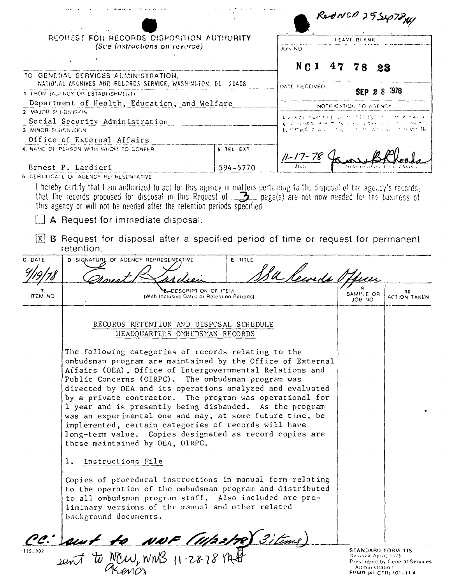|                                                                            | ومحرور الكراني والعجاز المتخلص ومنظورات<br><b>CARL A</b>                                                                                                                                                                                                                                                                                                                                                                                                                                                                                                                                                                                                                                                                                                                                                                                                                                                                                                                                                            |                |                               | RedNCD 25Sep7814 |                          |                                                                                                                               |  |  |
|----------------------------------------------------------------------------|---------------------------------------------------------------------------------------------------------------------------------------------------------------------------------------------------------------------------------------------------------------------------------------------------------------------------------------------------------------------------------------------------------------------------------------------------------------------------------------------------------------------------------------------------------------------------------------------------------------------------------------------------------------------------------------------------------------------------------------------------------------------------------------------------------------------------------------------------------------------------------------------------------------------------------------------------------------------------------------------------------------------|----------------|-------------------------------|------------------|--------------------------|-------------------------------------------------------------------------------------------------------------------------------|--|--|
| REQUEST FOR RECORDS DISPOSITION AUTHORITY<br>(Sce Instructions on reverse) |                                                                                                                                                                                                                                                                                                                                                                                                                                                                                                                                                                                                                                                                                                                                                                                                                                                                                                                                                                                                                     |                | LEAVE BLANK<br>JOR NO         |                  |                          |                                                                                                                               |  |  |
|                                                                            |                                                                                                                                                                                                                                                                                                                                                                                                                                                                                                                                                                                                                                                                                                                                                                                                                                                                                                                                                                                                                     |                | N <sub>C</sub> 1              | 47               | 78                       | 23                                                                                                                            |  |  |
|                                                                            | TO GENERAL SERVICES ALMINISTRATION,<br>RATIONAL ADDRIVES AND RECORDS SERVICE, WASHINGTON, DC 20408                                                                                                                                                                                                                                                                                                                                                                                                                                                                                                                                                                                                                                                                                                                                                                                                                                                                                                                  |                | <b><i>OATE FIECEIVED</i></b>  |                  |                          |                                                                                                                               |  |  |
|                                                                            | 1. FROM (AUFNCY OR ESTABLISHMENT)<br>Department of Health, Education, and Welfare                                                                                                                                                                                                                                                                                                                                                                                                                                                                                                                                                                                                                                                                                                                                                                                                                                                                                                                                   |                |                               |                  |                          | SEP 2 8 1978                                                                                                                  |  |  |
| 2 MAJOR SUBDIVISION                                                        |                                                                                                                                                                                                                                                                                                                                                                                                                                                                                                                                                                                                                                                                                                                                                                                                                                                                                                                                                                                                                     |                | おっしゃせい きゅゆ せんじしょうかいがくは はなむ ター |                  | NOTIFICATION, TO A GENCY |                                                                                                                               |  |  |
| <b>3 MINOR SUBDIVISION</b>                                                 | Social Security Administration                                                                                                                                                                                                                                                                                                                                                                                                                                                                                                                                                                                                                                                                                                                                                                                                                                                                                                                                                                                      |                |                               |                  |                          | good as red by investments is likely in disks of the first system is<br>testamped id any contact of the whole and research to |  |  |
|                                                                            | Office of External Affairs                                                                                                                                                                                                                                                                                                                                                                                                                                                                                                                                                                                                                                                                                                                                                                                                                                                                                                                                                                                          |                |                               |                  |                          |                                                                                                                               |  |  |
|                                                                            | 4. NAME OF PERSON WITH WHOM TO CONFER                                                                                                                                                                                                                                                                                                                                                                                                                                                                                                                                                                                                                                                                                                                                                                                                                                                                                                                                                                               | 5. TEL EXT     | $11 - 17 - 78$                |                  |                          |                                                                                                                               |  |  |
|                                                                            | Ernest P. Lardieri<br>6 CERTIFICATE OF AGENCY REPRESENTATIVE                                                                                                                                                                                                                                                                                                                                                                                                                                                                                                                                                                                                                                                                                                                                                                                                                                                                                                                                                        | 594-5770       |                               |                  |                          |                                                                                                                               |  |  |
|                                                                            | I horeby certify that I am authorized to act for this agency in matters pertaining to the disposal of the agency's records;<br>that the records proposed for disposal in this Request of $\Box$ page(s) are not now needed for the<br>this agency or will not be needed after the retention periods specified.<br>A Request for immediate disposal.<br>$\boxed{\text{X}}$ B Request for disposal after a specified period of time or request for permanent                                                                                                                                                                                                                                                                                                                                                                                                                                                                                                                                                          |                |                               |                  |                          |                                                                                                                               |  |  |
|                                                                            | retention.                                                                                                                                                                                                                                                                                                                                                                                                                                                                                                                                                                                                                                                                                                                                                                                                                                                                                                                                                                                                          |                |                               |                  |                          |                                                                                                                               |  |  |
| C. DATE                                                                    | D SIGNATURE OF AGENCY REPRESENTATIVE                                                                                                                                                                                                                                                                                                                                                                                                                                                                                                                                                                                                                                                                                                                                                                                                                                                                                                                                                                                | <b>E</b> TITLE | 1 le lecords Officer          |                  |                          |                                                                                                                               |  |  |
| <b>CH N3TI</b>                                                             | B-DESCRIPTION OF ITEM<br>(With Inclusive Dates or Retention Periods)                                                                                                                                                                                                                                                                                                                                                                                                                                                                                                                                                                                                                                                                                                                                                                                                                                                                                                                                                |                |                               |                  | SAMPLE OR<br>OH 90L      | 10<br>ACTION TAKEN                                                                                                            |  |  |
|                                                                            | RECORDS RETENTION AND DISPOSAL SCHEDULE<br>HEADQUARTERS OMBUDSMAN RECORDS<br>The following categories of records relating to the<br>ombudsman program are maintained by the Office of External<br>Alfairs (OEA), Office of Intergovernmental Relations and<br>Public Concerns (OIRPC). The ombudsman program was<br>directed by OEA and its operations analyzed and evaluated<br>by a private contractor. The program was operational for<br>1 year and is presently being disbanded. As the program<br>was an experimental one and may, at some future time, be<br>implemented, certain categories of records will have<br>long-term value. Copies designated as record copies are<br>those maintained by OEA, OIRPC.<br>Instructions File<br>ı.<br>Copies of procedural instructions in manual form relating<br>to the operation of the ombudsman program and distributed<br>to all ombudsman program staff. Also included are pre-<br>liminary versions of the manual and other related<br>background documents. |                |                               |                  |                          |                                                                                                                               |  |  |
|                                                                            | CC: aut to NNF (11/22/78) 3itims)                                                                                                                                                                                                                                                                                                                                                                                                                                                                                                                                                                                                                                                                                                                                                                                                                                                                                                                                                                                   |                |                               |                  |                          |                                                                                                                               |  |  |
|                                                                            | sent to NCW, NNB 11-28-78 MF                                                                                                                                                                                                                                                                                                                                                                                                                                                                                                                                                                                                                                                                                                                                                                                                                                                                                                                                                                                        |                |                               |                  | Administration           | STANDARD FORM 115<br>Revised April, 1975.<br><b>Prescribed by General Services</b><br>FPMR (41 CFR) 101-11 4                  |  |  |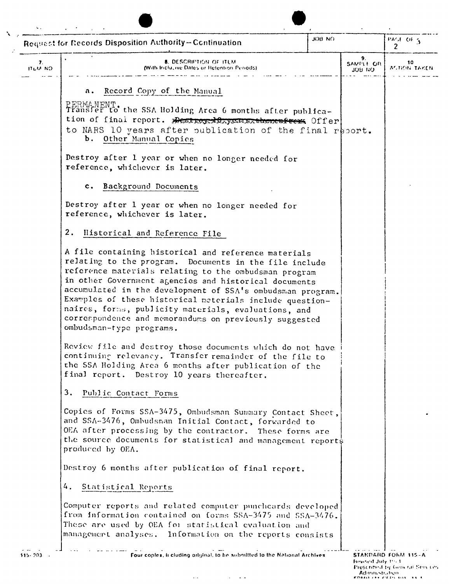|                     | JOB NO<br><b>Request for Records Disposition Authority-Continuation</b>                                                                                                                                                                                                                                                                                                                                                                                                                                  |  |                                   | PAGE OF S<br>2       |
|---------------------|----------------------------------------------------------------------------------------------------------------------------------------------------------------------------------------------------------------------------------------------------------------------------------------------------------------------------------------------------------------------------------------------------------------------------------------------------------------------------------------------------------|--|-----------------------------------|----------------------|
| 7.<br><b>DIA NO</b> | 8. DESCRIPTION OF ITEM<br>(With Inclu, ive Dates or Retention Periods).                                                                                                                                                                                                                                                                                                                                                                                                                                  |  | 9.<br>SAMFLE OR<br><b>טיו חסר</b> | 10<br>ASTISHI TAKEN. |
|                     | Record Copy of the Manual<br>а.                                                                                                                                                                                                                                                                                                                                                                                                                                                                          |  |                                   |                      |
|                     | PERMANENT.<br>Transfer to the SSA Holding Arca 6 months after publica-                                                                                                                                                                                                                                                                                                                                                                                                                                   |  |                                   |                      |
|                     | tion of final report. Pestroy Afrycous there after Offer                                                                                                                                                                                                                                                                                                                                                                                                                                                 |  |                                   |                      |
|                     | to NARS 10 years after publication of the final report.<br>b. Other Manual Copies                                                                                                                                                                                                                                                                                                                                                                                                                        |  |                                   |                      |
|                     | Destroy after 1 year or when no longer needed for<br>reference, whichever is later.                                                                                                                                                                                                                                                                                                                                                                                                                      |  |                                   |                      |
|                     | Background Documents<br>$\mathbf{c}$ .                                                                                                                                                                                                                                                                                                                                                                                                                                                                   |  |                                   |                      |
|                     | Destroy after 1 year or when no longer needed for<br>reference, whichever is later.                                                                                                                                                                                                                                                                                                                                                                                                                      |  |                                   |                      |
|                     | 2.<br>Historical and Reference File                                                                                                                                                                                                                                                                                                                                                                                                                                                                      |  |                                   |                      |
|                     | A file containing historical and reference materials<br>relating to the program. Documents in the file include<br>reference materials relating to the ombudsman program<br>in other Government agencies and historical documents<br>accumulated in the development of SSA's ombudsman program.<br>Examples of these historical meterials include question-<br>naires, forms, publicity materials, evaluations, and<br>correspondence and memorandums on previously suggested<br>ombudsman-type programs. |  |                                   |                      |
|                     | Review file and destroy those documents which do not have<br>continuing relevancy. Transfer remainder of the file to<br>the SSA Holding Area 6 months after publication of the<br>final report. Destroy 10 years thereafter.                                                                                                                                                                                                                                                                             |  |                                   |                      |
|                     | 3.<br>Public Contact Forms                                                                                                                                                                                                                                                                                                                                                                                                                                                                               |  |                                   |                      |
|                     | Copies of Forms SSA-3475, Ombudsman Summary Contact Sheet,<br>and SSA-3476, Ombudsman Initial Contact, forwarded to<br>OEA after processing by the contractor. These forms are<br>the source documents for statistical and management reports<br>produced by OEA.                                                                                                                                                                                                                                        |  |                                   |                      |
|                     | Destroy 6 months after publication of final report.                                                                                                                                                                                                                                                                                                                                                                                                                                                      |  |                                   |                      |
|                     | 4.<br>Statistical Reports                                                                                                                                                                                                                                                                                                                                                                                                                                                                                |  |                                   |                      |
|                     | Computer reports and related computer punchcards developed<br>from information contained on forms SSA-3475 and SSA-3476.<br>These are used by OEA for statistical evaluation and<br>management analyses. Information on the reports consists                                                                                                                                                                                                                                                             |  |                                   |                      |

 $\hat{\mathbf{v}}$ 

Four coples, li cluding original, to be submitted to the National Archives

 $\Delta\Delta\phi$  and  $\Delta\phi$  and  $\Delta\phi$ 

STANDARD FORM 115-A<br>Revised July 19-1<br>Prescribed by General Services<br>- Administration<br>FORM 10-7000 1000 11-1